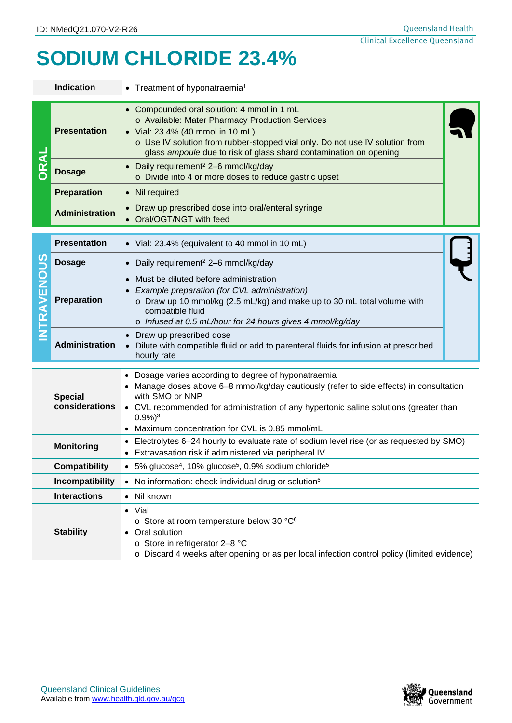## **SODIUM CHLORIDE 23.4%**

| <b>Indication</b>                |                       | • Treatment of hyponatraemia <sup>1</sup>                                                                                                                                                                                                                                                                                         |  |  |  |  |
|----------------------------------|-----------------------|-----------------------------------------------------------------------------------------------------------------------------------------------------------------------------------------------------------------------------------------------------------------------------------------------------------------------------------|--|--|--|--|
|                                  | <b>Presentation</b>   | • Compounded oral solution: 4 mmol in 1 mL<br>o Available: Mater Pharmacy Production Services<br>• Vial: 23.4% (40 mmol in 10 mL)<br>o Use IV solution from rubber-stopped vial only. Do not use IV solution from<br>glass ampoule due to risk of glass shard contamination on opening                                            |  |  |  |  |
|                                  | <b>Dosage</b>         | • Daily requirement <sup>2</sup> 2-6 mmol/kg/day<br>o Divide into 4 or more doses to reduce gastric upset                                                                                                                                                                                                                         |  |  |  |  |
|                                  | <b>Preparation</b>    | • Nil required                                                                                                                                                                                                                                                                                                                    |  |  |  |  |
|                                  | <b>Administration</b> | Draw up prescribed dose into oral/enteral syringe<br>$\bullet$<br>Oral/OGT/NGT with feed                                                                                                                                                                                                                                          |  |  |  |  |
| 9C<br>NTRAVENO                   | <b>Presentation</b>   | • Vial: 23.4% (equivalent to 40 mmol in 10 mL)                                                                                                                                                                                                                                                                                    |  |  |  |  |
|                                  | <b>Dosage</b>         | Daily requirement <sup>2</sup> 2-6 mmol/kg/day                                                                                                                                                                                                                                                                                    |  |  |  |  |
|                                  | Preparation           | Must be diluted before administration<br>Example preparation (for CVL administration)<br>o Draw up 10 mmol/kg (2.5 mL/kg) and make up to 30 mL total volume with<br>compatible fluid<br>o Infused at 0.5 mL/hour for 24 hours gives 4 mmol/kg/day                                                                                 |  |  |  |  |
|                                  | <b>Administration</b> | Draw up prescribed dose<br>Dilute with compatible fluid or add to parenteral fluids for infusion at prescribed<br>hourly rate                                                                                                                                                                                                     |  |  |  |  |
| <b>Special</b><br>considerations |                       | Dosage varies according to degree of hyponatraemia<br>Manage doses above 6-8 mmol/kg/day cautiously (refer to side effects) in consultation<br>with SMO or NNP<br>• CVL recommended for administration of any hypertonic saline solutions (greater than<br>$0.9\%)$ <sup>3</sup><br>Maximum concentration for CVL is 0.85 mmol/mL |  |  |  |  |
| <b>Monitoring</b>                |                       | Electrolytes 6–24 hourly to evaluate rate of sodium level rise (or as requested by SMO)<br>• Extravasation risk if administered via peripheral IV                                                                                                                                                                                 |  |  |  |  |
| <b>Compatibility</b>             |                       | 5% glucose <sup>4</sup> , 10% glucose <sup>5</sup> , 0.9% sodium chloride <sup>5</sup>                                                                                                                                                                                                                                            |  |  |  |  |
| Incompatibility                  |                       | • No information: check individual drug or solution <sup>6</sup>                                                                                                                                                                                                                                                                  |  |  |  |  |
| <b>Interactions</b>              |                       | • Nil known                                                                                                                                                                                                                                                                                                                       |  |  |  |  |
| <b>Stability</b>                 |                       | • Vial<br>o Store at room temperature below 30 °C <sup>6</sup><br>Oral solution<br>o Store in refrigerator 2-8 °C<br>o Discard 4 weeks after opening or as per local infection control policy (limited evidence)                                                                                                                  |  |  |  |  |